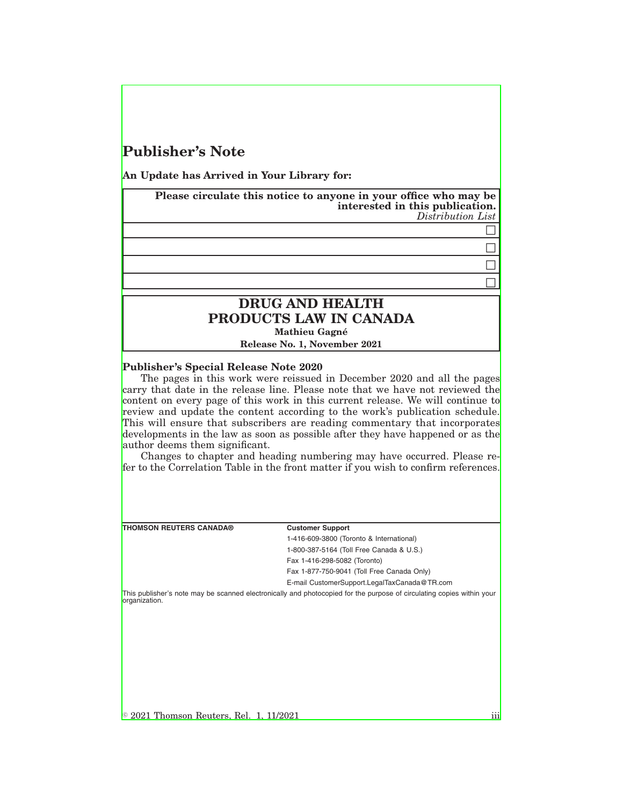# **Publisher's Note**

**An Update has Arrived in Your Library for:**

**Please circulate this notice to anyone in your office who may be interested in this publication.** *Distribution List*

> $\Box$  $\Box$

### $\Box$  $\Box$

## **DRUG AND HEALTH PRODUCTS LAW IN CANADA Mathieu Gagné**

**Release No. 1, November 2021**

#### **Publisher's Special Release Note 2020**

The pages in this work were reissued in December 2020 and all the pages carry that date in the release line. Please note that we have not reviewed the content on every page of this work in this current release. We will continue to review and update the content according to the work's publication schedule. This will ensure that subscribers are reading commentary that incorporates developments in the law as soon as possible after they have happened or as the author deems them significant.

Changes to chapter and heading numbering may have occurred. Please refer to the Correlation Table in the front matter if you wish to confirm references.

**THOMSON REUTERS CANADA® Customer Support**

1-416-609-3800 (Toronto & International) 1-800-387-5164 (Toll Free Canada & U.S.) Fax 1-416-298-5082 (Toronto) Fax 1-877-750-9041 (Toll Free Canada Only) E-mail CustomerSupport.LegalTaxCanada@TR.com

This publisher's note may be scanned electronically and photocopied for the purpose of circulating copies within your organization.

 $\textcircled{\textdegree}$  2021 Thomson Reuters, Rel. 1, 11/2021 iii